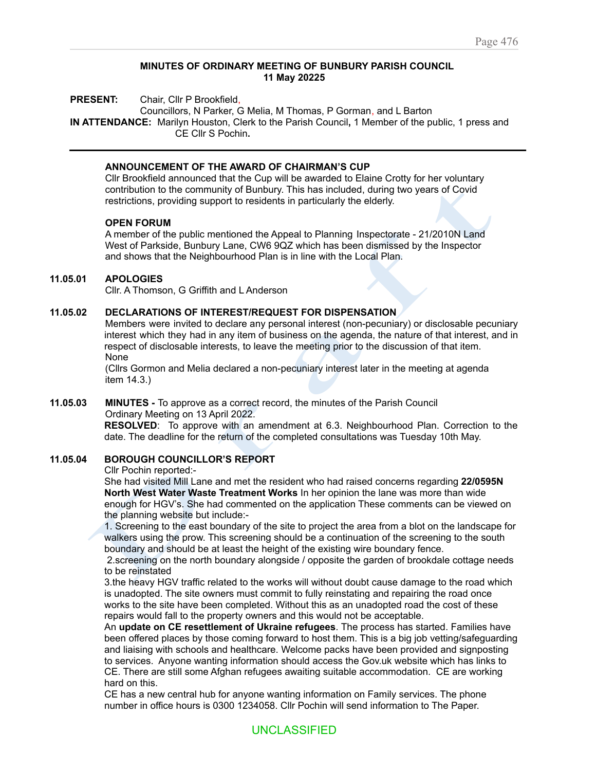#### **MINUTES OF ORDINARY MEETING OF BUNBURY PARISH COUNCIL 11 May 20225**

**PRESENT:** Chair, Cllr P Brookfield,

Councillors, N Parker, G Melia, M Thomas, P Gorman, and L Barton **IN ATTENDANCE:** Marilyn Houston, Clerk to the Parish Council**,** 1 Member of the public, 1 press and CE Cllr S Pochin**.**

## **ANNOUNCEMENT OF THE AWARD OF CHAIRMAN'S CUP**

Cllr Brookfield announced that the Cup will be awarded to Elaine Crotty for her voluntary contribution to the community of Bunbury. This has included, during two years of Covid restrictions, providing support to residents in particularly the elderly.

#### **OPEN FORUM**

p Inspectorate - 21/2(<br>een dismissed by the<br>e Local Plan.<br>ENSATION wo years of Covid<br>ate - 21/2010N Land<br>ed by the Inspector A member of the public mentioned the Appeal to Planning Inspectorate - 21/2010N Land West of Parkside, Bunbury Lane, CW6 9QZ which has been dismissed by the Inspector and shows that the Neighbourhood Plan is in line with the Local Plan.

## **11.05.01 APOLOGIES**

Cllr. A Thomson, G Griffith and L Anderson

## **11.05.02 DECLARATIONS OF INTEREST/REQUEST FOR DISPENSATION**

ional interest (non-<br>iness on the agend<br>ne meeting prior to<br>ecuniary interest la<br>cuniary interest la Members were invited to declare any personal interest (non-pecuniary) or disclosable pecuniary interest which they had in any item of business on the agenda, the nature of that interest, and in respect of disclosable interests, to leave the meeting prior to the discussion of that item. None

(Cllrs Gormon and Melia declared a non-pecuniary interest later in the meeting at agenda item 14.3.)

#### **11.05.03 MINUTES -** To approve as a correct record, the minutes of the Parish Council Ordinary Meeting on 13 April 2022.

**RESOLVED**: To approve with an amendment at 6.3. Neighbourhood Plan. Correction to the date. The deadline for the return of the completed consultations was Tuesday 10th May.

#### **11.05.04 BOROUGH COUNCILLOR'S REPORT**

Cllr Pochin reported:-

Cllr Pochin reported:<br>Cllr Pochin reported:<br>She had visited Mill Lane<br>North West Water Wast<br>enough for HGV's. She h<br>the planning website but<br>1. Screening to the east I<br>walkers using the prow. T<br>boundary and should be<br>2. sc **S - Io approve as a correct recom**<br>
In Meeting on 13 April 2022.<br> **IED:** To approve with an amenee deadline for the return of the complement of the complement of the complement visited Mill Lane and met the resitest Water She had visited Mill Lane and met the resident who had raised concerns regarding **22/0595N North West Water Waste Treatment Works** In her opinion the lane was more than wide enough for HGV's. She had commented on the application These comments can be viewed on the planning website but include:-

1. Screening to the east boundary of the site to project the area from a blot on the landscape for walkers using the prow. This screening should be a continuation of the screening to the south boundary and should be at least the height of the existing wire boundary fence.

2.screening on the north boundary alongside / opposite the garden of brookdale cottage needs to be reinstated

3.the heavy HGV traffic related to the works will without doubt cause damage to the road which is unadopted. The site owners must commit to fully reinstating and repairing the road once works to the site have been completed. Without this as an unadopted road the cost of these repairs would fall to the property owners and this would not be acceptable.

An **update on CE resettlement of Ukraine refugees**. The process has started. Families have been offered places by those coming forward to host them. This is a big job vetting/safeguarding and liaising with schools and healthcare. Welcome packs have been provided and signposting to services. Anyone wanting information should access the Gov.uk website which has links to CE. There are still some Afghan refugees awaiting suitable accommodation. CE are working hard on this.

CE has a new central hub for anyone wanting information on Family services. The phone number in office hours is 0300 1234058. Cllr Pochin will send information to The Paper.

# UNCLASSIFIED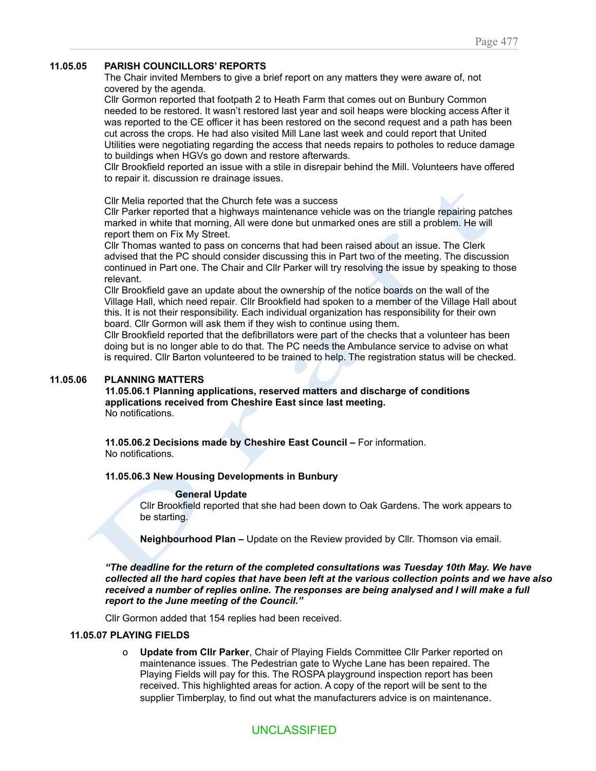## **11.05.05 PARISH COUNCILLORS' REPORTS**

The Chair invited Members to give a brief report on any matters they were aware of, not covered by the agenda.

Cllr Gormon reported that footpath 2 to Heath Farm that comes out on Bunbury Common needed to be restored. It wasn't restored last year and soil heaps were blocking access After it was reported to the CE officer it has been restored on the second request and a path has been cut across the crops. He had also visited Mill Lane last week and could report that United Utilities were negotiating regarding the access that needs repairs to potholes to reduce damage to buildings when HGVs go down and restore afterwards.

Cllr Brookfield reported an issue with a stile in disrepair behind the Mill. Volunteers have offered to repair it. discussion re drainage issues.

Cllr Melia reported that the Church fete was a success

Cllr Parker reported that a highways maintenance vehicle was on the triangle repairing patches marked in white that morning, All were done but unmarked ones are still a problem. He will report them on Fix My Street.

aised about an issue.<br>It two of the meeting<br>esolving the issue by<br>enotice boards on the<br>n to a member of the<br>ion has responsibility triangle repairing patc<br>still a problem. He will<br>an issue. The Clerk<br>e meeting. The discuss<br>issue by speaking to tl<br>rds on the wall of the<br>per of the Village Hall a<br>ponsibility for their own Cllr Thomas wanted to pass on concerns that had been raised about an issue. The Clerk advised that the PC should consider discussing this in Part two of the meeting. The discussion continued in Part one. The Chair and Cllr Parker will try resolving the issue by speaking to those relevant.

Cllr Brookfield gave an update about the ownership of the notice boards on the wall of the Village Hall, which need repair. Cllr Brookfield had spoken to a member of the Village Hall about this. It is not their responsibility. Each individual organization has responsibility for their own board. Cllr Gormon will ask them if they wish to continue using them.

sh to continue usin<br>rs were part of the<br>PC needs the Amb<br>rained to help. The<br>ved matters and d Cllr Brookfield reported that the defibrillators were part of the checks that a volunteer has been doing but is no longer able to do that. The PC needs the Ambulance service to advise on what is required. Cllr Barton volunteered to be trained to help. The registration status will be checked.

## **11.05.06 PLANNING MATTERS**

 **applications received from Cheshire East since last meeting. 11.05.06.1 Planning applications, reserved matters and discharge of conditions** No notifications.

**11.05.06.2 Decisions made by Cheshire East Council –** For information. No notifications.

#### **11.05.06.3 New Housing Developments in Bunbury**

#### **General Update**

Cllr Brookfield reported that she had been down to Oak Gardens. The work appears to be starting.

**Neighbourhood Plan –** Update on the Review provided by Cllr. Thomson via email.

11.05.06.3 New Housing<br>General<br>Cllr Brookfield re<br>be starting.<br>Neighbourhood<br>"The deadline for the recollected all the hard c received from Chesnire Eartions.<br>
S.2 Decisions made by Cheshire<br>
cations.<br>
S.3 New Housing Developments<br>
General Update<br>
Cllr Brookfield reported that she h<br>
be starting.<br>
Neighbourhood Plan – Update condine for the retur *"The deadline for the return of the completed consultations was Tuesday 10th May. We have* collected all the hard copies that have been left at the various collection points and we have also *received a number of replies online. The responses are being analysed and I will make a full report to the June meeting of the Council."*

Cllr Gormon added that 154 replies had been received.

#### **11.05.07 PLAYING FIELDS**

o **Update from Cllr Parker**, Chair of Playing Fields Committee Cllr Parker reported on maintenance issues. The Pedestrian gate to Wyche Lane has been repaired. The Playing Fields will pay for this. The ROSPA playground inspection report has been received. This highlighted areas for action. A copy of the report will be sent to the supplier Timberplay, to find out what the manufacturers advice is on maintenance.

# UNCLASSIFIED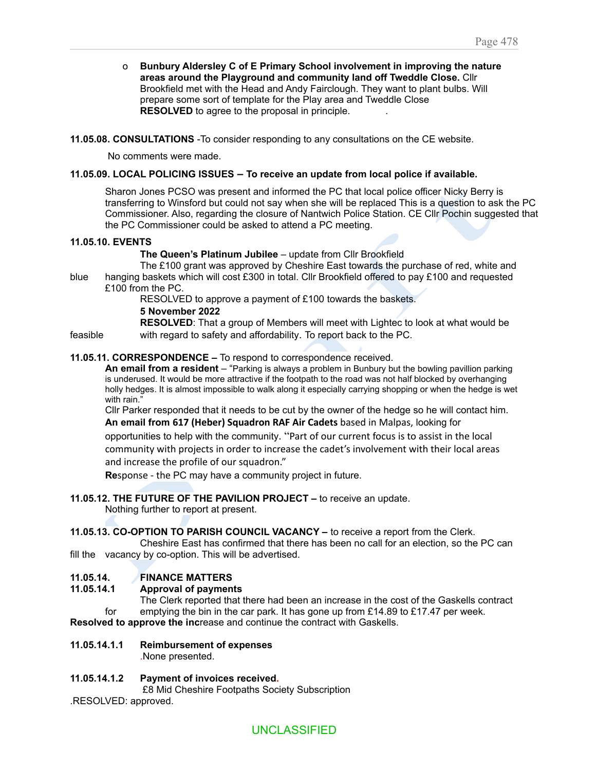o **Bunbury Aldersley C of E Primary School involvement in improving the nature areas around the Playground and community land off Tweddle Close.** Cllr Brookfield met with the Head and Andy Fairclough. They want to plant bulbs. Will prepare some sort of template for the Play area and Tweddle Close **RESOLVED** to agree to the proposal in principle. .

**11.05.08. CONSULTATIONS** -To consider responding to any consultations on the CE website.

No comments were made.

## **11.05.09. LOCAL POLICING ISSUES – To receive an update from local police if available.**

ice officer Nicky Berry<br>This is a question to as<br>1. CE Cllr Pochin sugger<br>d<br>d<br>purchase of red, white<br>to pay £100 and reques<br>tets. Sharon Jones PCSO was present and informed the PC that local police officer Nicky Berry is transferring to Winsford but could not say when she will be replaced This is a question to ask the PC Commissioner. Also, regarding the closure of Nantwich Police Station. CE Cllr Pochin suggested that the PC Commissioner could be asked to attend a PC meeting.

#### **11.05.10. EVENTS**

**The Queen's Platinum Jubilee** – update from Cllr Brookfield

IIr Brookfield<br>towards the purchase<br>eld offered to pay £10<br>ds the baskets. The £100 grant was approved by Cheshire East towards the purchase of red, white and blue hanging baskets which will cost £300 in total. Cllr Brookfield offered to pay £100 and requested £100 from the PC.

RESOLVED to approve a payment of £100 towards the baskets.

# **5 November 2022**

**RESOLVED**: That a group of Members will meet with Lightec to look at what would be feasible with regard to safety and affordability. To report back to the PC.

## **11.05.11. CORRESPONDENCE –** To respond to correspondence received.

nbers will meet with<br>lity. To report back<br>orrespondence rec<br>ays a problem in Bun<br>footpath to the road<br>ong it especially carry **An email from a resident** – "Parking is always a problem in Bunbury but the bowling pavillion parking is underused. It would be more attractive if the footpath to the road was not half blocked by overhanging holly hedges. It is almost impossible to walk along it especially carrying shopping or when the hedge is wet with rain."

Cllr Parker responded that it needs to be cut by the owner of the hedge so he will contact him. **An email from 617 (Heber) Squadron RAF Air Cadets** based in Malpas, looking for

ther responded that it needs to be only infrarm 617 (Heber) Squadron RA<br>intities to help with the community.<br>inty with projects in order to increase the profile of our squadron.'<br>ise - the PC may have a communit<br>UTURE OF T opportunities to help with the community. "Part of our current focus is to assist in the local community with projects in order to increase the cadet's involvement with their local areas and increase the profile of our squadron."

**Re**sponse - the PC may have a community project in future.

# **11.05.12. THE FUTURE OF THE PAVILION PROJECT –** to receive an update.

Nothing further to report at present.

#### **11.05.13. CO-OPTION TO PARISH COUNCIL VACANCY –** to receive a report from the Clerk.

and increase the profile<br>
Response - the PC may<br>
15.12. THE FUTURE OF THE<br>
Nothing further to report<br>
5.13. CO-OPTION TO PARI<br>
Cheshire East ha<br>
16.14. FINANCE MATT Cheshire East has confirmed that there has been no call for an election, so the PC can fill the vacancy by co-option. This will be advertised.

# **11.05.14. FINANCE MATTERS**

### **11.05.14.1 Approval of payments**

The Clerk reported that there had been an increase in the cost of the Gaskells contract for emptying the bin in the car park. It has gone up from  $£14.89$  to  $£17.47$  per week. **Resolved to approve the inc**rease and continue the contract with Gaskells.

# **11.05.14.1.1 Reimbursement of expenses**

.None presented.

# **11.05.14.1.2 Payment of invoices received.**

£8 Mid Cheshire Footpaths Society Subscription

.RESOLVED: approved.